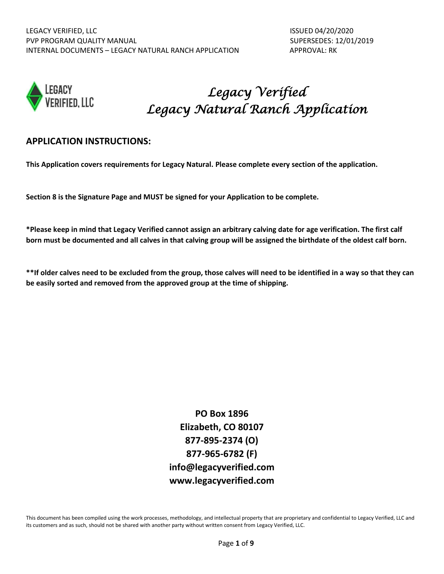

# *Legacy Verified Legacy Natural Ranch Application*

## **APPLICATION INSTRUCTIONS:**

**This Application covers requirements for Legacy Natural. Please complete every section of the application.**

**Section 8 is the Signature Page and MUST be signed for your Application to be complete.** 

**\*Please keep in mind that Legacy Verified cannot assign an arbitrary calving date for age verification. The first calf born must be documented and all calves in that calving group will be assigned the birthdate of the oldest calf born.** 

**\*\*If older calves need to be excluded from the group, those calves will need to be identified in a way so that they can be easily sorted and removed from the approved group at the time of shipping.** 

> **PO Box 1896 Elizabeth, CO 80107 877-895-2374 (O) 877-965-6782 (F) info@legacyverified.com [www.legacyverified.com](http://www.legacyverified.com/)**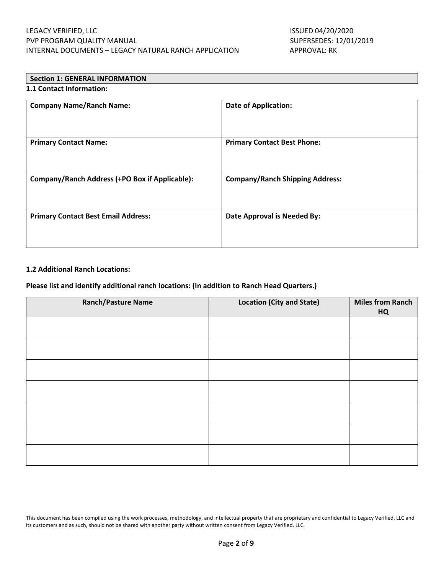# **Section 1: GENERAL INFORMATION**

### **1.1 Contact Information:**

| <b>Company Name/Ranch Name:</b>                | <b>Date of Application:</b>            |
|------------------------------------------------|----------------------------------------|
| <b>Primary Contact Name:</b>                   | <b>Primary Contact Best Phone:</b>     |
| Company/Ranch Address (+PO Box if Applicable): | <b>Company/Ranch Shipping Address:</b> |
| <b>Primary Contact Best Email Address:</b>     | Date Approval is Needed By:            |

#### **1.2 Additional Ranch Locations:**

#### **Please list and identify additional ranch locations: (In addition to Ranch Head Quarters.)**

| <b>Ranch/Pasture Name</b> | <b>Location (City and State)</b> | <b>Miles from Ranch</b><br><b>HQ</b> |
|---------------------------|----------------------------------|--------------------------------------|
|                           |                                  |                                      |
|                           |                                  |                                      |
|                           |                                  |                                      |
|                           |                                  |                                      |
|                           |                                  |                                      |
|                           |                                  |                                      |
|                           |                                  |                                      |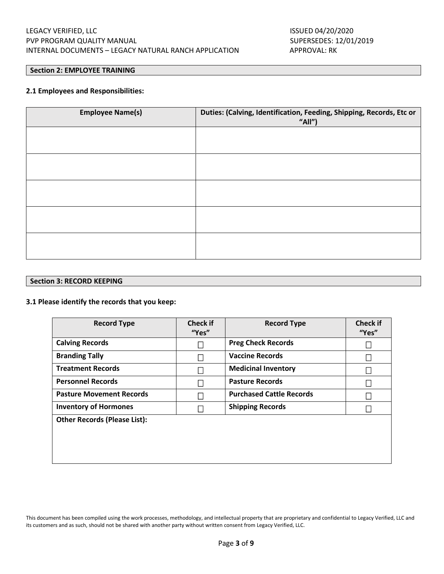#### **Section 2: EMPLOYEE TRAINING**

#### **2.1 Employees and Responsibilities:**

| <b>Employee Name(s)</b> | Duties: (Calving, Identification, Feeding, Shipping, Records, Etc or<br>"All") |  |
|-------------------------|--------------------------------------------------------------------------------|--|
|                         |                                                                                |  |
|                         |                                                                                |  |
|                         |                                                                                |  |
|                         |                                                                                |  |
|                         |                                                                                |  |

#### **Section 3: RECORD KEEPING**

#### **3.1 Please identify the records that you keep:**

| <b>Record Type</b>                  | <b>Check if</b><br>"Yes" | <b>Record Type</b>              | <b>Check if</b><br>"Yes" |
|-------------------------------------|--------------------------|---------------------------------|--------------------------|
| <b>Calving Records</b>              |                          | <b>Preg Check Records</b>       |                          |
| <b>Branding Tally</b>               |                          | <b>Vaccine Records</b>          |                          |
| <b>Treatment Records</b>            |                          | <b>Medicinal Inventory</b>      |                          |
| <b>Personnel Records</b>            |                          | <b>Pasture Records</b>          |                          |
| <b>Pasture Movement Records</b>     |                          | <b>Purchased Cattle Records</b> |                          |
| <b>Inventory of Hormones</b>        |                          | <b>Shipping Records</b>         |                          |
| <b>Other Records (Please List):</b> |                          |                                 |                          |
|                                     |                          |                                 |                          |
|                                     |                          |                                 |                          |
|                                     |                          |                                 |                          |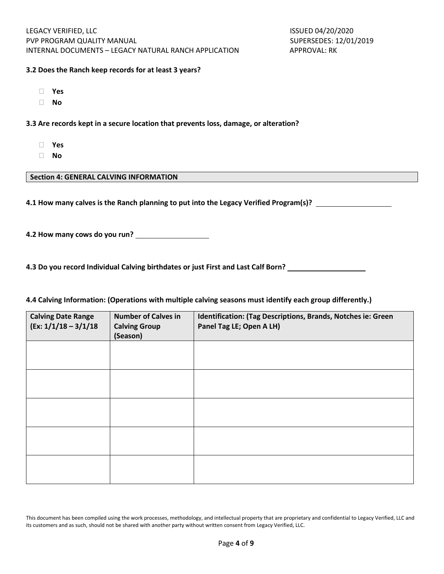#### **3.2 Does the Ranch keep records for at least 3 years?**

- **Yes**
- **No**

**3.3 Are records kept in a secure location that prevents loss, damage, or alteration?**

- **Yes**
- **No**

#### **Section 4: GENERAL CALVING INFORMATION**

**4.1 How many calves is the Ranch planning to put into the Legacy Verified Program(s)?** 

**4.2 How many cows do you run?** 

**4.3 Do you record Individual Calving birthdates or just First and Last Calf Born?** 

#### **4.4 Calving Information: (Operations with multiple calving seasons must identify each group differently.)**

| <b>Calving Date Range</b><br>$(Ex: 1/1/18 - 3/1/18)$ | <b>Number of Calves in</b><br><b>Calving Group</b><br>(Season) | Identification: (Tag Descriptions, Brands, Notches ie: Green<br>Panel Tag LE; Open A LH) |
|------------------------------------------------------|----------------------------------------------------------------|------------------------------------------------------------------------------------------|
|                                                      |                                                                |                                                                                          |
|                                                      |                                                                |                                                                                          |
|                                                      |                                                                |                                                                                          |
|                                                      |                                                                |                                                                                          |
|                                                      |                                                                |                                                                                          |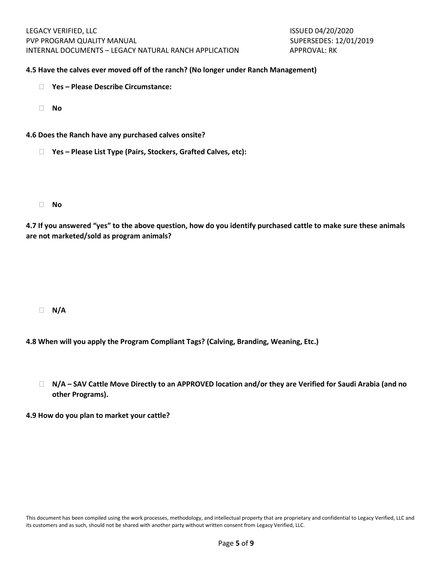#### **4.5 Have the calves ever moved off of the ranch? (No longer under Ranch Management)**

- **Yes – Please Describe Circumstance:**
- **No**
- **4.6 Does the Ranch have any purchased calves onsite?**
	- **Yes – Please List Type (Pairs, Stockers, Grafted Calves, etc):**
	- **No**

**4.7 If you answered "yes" to the above question, how do you identify purchased cattle to make sure these animals are not marketed/sold as program animals?**

**N/A** 

- **4.8 When will you apply the Program Compliant Tags? (Calving, Branding, Weaning, Etc.)**
	- **N/A – SAV Cattle Move Directly to an APPROVED location and/or they are Verified for Saudi Arabia (and no other Programs).**

**4.9 How do you plan to market your cattle?**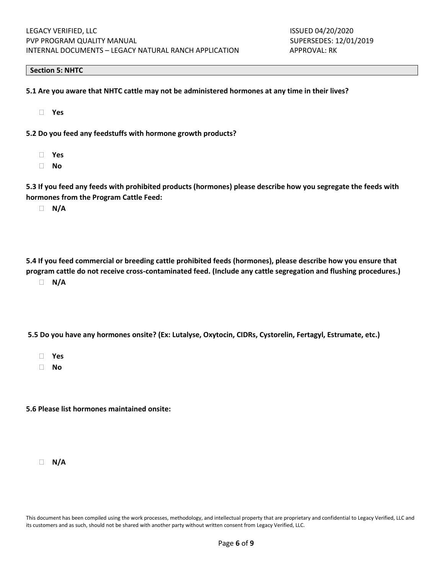#### **Section 5: NHTC**

- **5.1 Are you aware that NHTC cattle may not be administered hormones at any time in their lives?**
	- **Yes**
- **5.2 Do you feed any feedstuffs with hormone growth products?**
	- **Yes**
	- **No**

**5.3 If you feed any feeds with prohibited products (hormones) please describe how you segregate the feeds with hormones from the Program Cattle Feed:**

**N/A**

**5.4 If you feed commercial or breeding cattle prohibited feeds (hormones), please describe how you ensure that program cattle do not receive cross-contaminated feed. (Include any cattle segregation and flushing procedures.) N/A**

**5.5 Do you have any hormones onsite? (Ex: Lutalyse, Oxytocin, CIDRs, Cystorelin, Fertagyl, Estrumate, etc.)**

- **Yes**
- **No**

**5.6 Please list hormones maintained onsite:**

**N/A**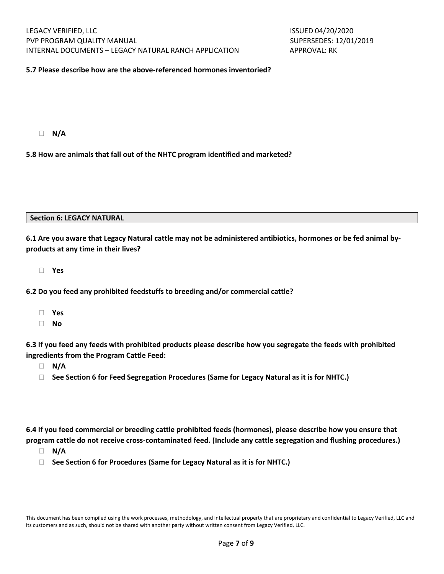#### **5.7 Please describe how are the above-referenced hormones inventoried?**

**N/A**

**5.8 How are animals that fall out of the NHTC program identified and marketed?**

#### **Section 6: LEGACY NATURAL**

**6.1 Are you aware that Legacy Natural cattle may not be administered antibiotics, hormones or be fed animal byproducts at any time in their lives?**

**Yes**

**6.2 Do you feed any prohibited feedstuffs to breeding and/or commercial cattle?**

- **Yes**
- **No**

**6.3 If you feed any feeds with prohibited products please describe how you segregate the feeds with prohibited ingredients from the Program Cattle Feed:**

- **N/A**
- **See Section 6 for Feed Segregation Procedures (Same for Legacy Natural as it is for NHTC.)**

**6.4 If you feed commercial or breeding cattle prohibited feeds (hormones), please describe how you ensure that program cattle do not receive cross-contaminated feed. (Include any cattle segregation and flushing procedures.)**

- **N/A**
- **See Section 6 for Procedures (Same for Legacy Natural as it is for NHTC.)**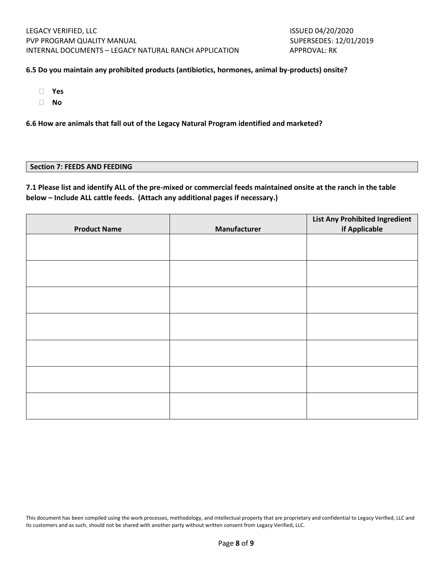#### **6.5 Do you maintain any prohibited products (antibiotics, hormones, animal by-products) onsite?**

- **Yes**
- **No**

**6.6 How are animals that fall out of the Legacy Natural Program identified and marketed?**

#### **Section 7: FEEDS AND FEEDING**

**7.1 Please list and identify ALL of the pre-mixed or commercial feeds maintained onsite at the ranch in the table below – Include ALL cattle feeds. (Attach any additional pages if necessary.)**

|                     |              | <b>List Any Prohibited Ingredient</b> |
|---------------------|--------------|---------------------------------------|
| <b>Product Name</b> | Manufacturer | if Applicable                         |
|                     |              |                                       |
|                     |              |                                       |
|                     |              |                                       |
|                     |              |                                       |
|                     |              |                                       |
|                     |              |                                       |
|                     |              |                                       |
|                     |              |                                       |
|                     |              |                                       |
|                     |              |                                       |
|                     |              |                                       |
|                     |              |                                       |
|                     |              |                                       |
|                     |              |                                       |
|                     |              |                                       |
|                     |              |                                       |
|                     |              |                                       |
|                     |              |                                       |
|                     |              |                                       |
|                     |              |                                       |
|                     |              |                                       |